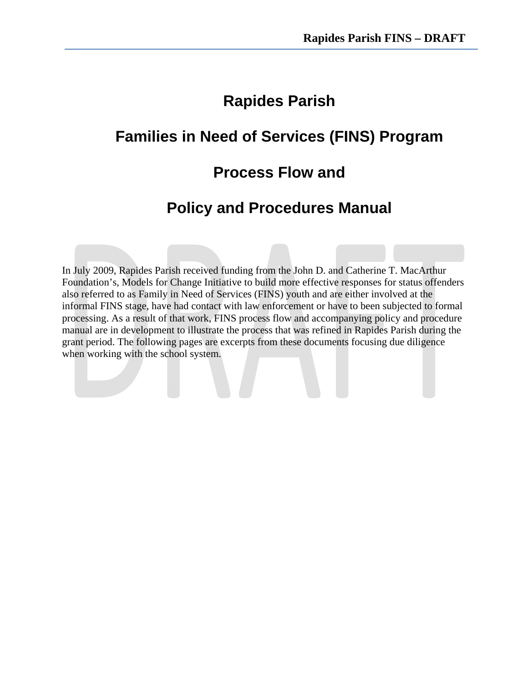# **Rapides Parish**

# **Families in Need of Services (FINS) Program**

## **Process Flow and**

## **Policy and Procedures Manual**

In July 2009, Rapides Parish received funding from the John D. and Catherine T. MacArthur Foundation's, Models for Change Initiative to build more effective responses for status offenders also referred to as Family in Need of Services (FINS) youth and are either involved at the informal FINS stage, have had contact with law enforcement or have to been subjected to formal processing. As a result of that work, FINS process flow and accompanying policy and procedure manual are in development to illustrate the process that was refined in Rapides Parish during the grant period. The following pages are excerpts from these documents focusing due diligence when working with the school system.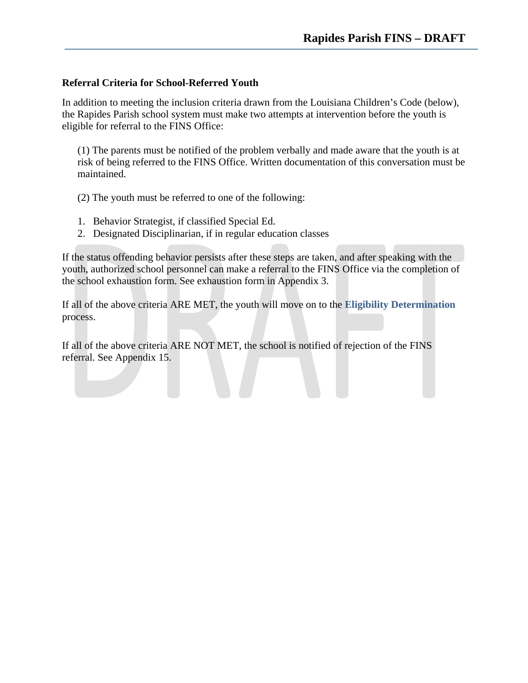#### **Referral Criteria for School-Referred Youth**

In addition to meeting the inclusion criteria drawn from the Louisiana Children's Code (below), the Rapides Parish school system must make two attempts at intervention before the youth is eligible for referral to the FINS Office:

(1) The parents must be notified of the problem verbally and made aware that the youth is at risk of being referred to the FINS Office. Written documentation of this conversation must be maintained.

(2) The youth must be referred to one of the following:

- 1. Behavior Strategist, if classified Special Ed.
- 2. Designated Disciplinarian, if in regular education classes

If the status offending behavior persists after these steps are taken, and after speaking with the youth, authorized school personnel can make a referral to the FINS Office via the completion of the school exhaustion form. See exhaustion form in Appendix 3.

If all of the above criteria ARE MET, the youth will move on to the **Eligibility Determination** process.

If all of the above criteria ARE NOT MET, the school is notified of rejection of the FINS referral. See Appendix 15.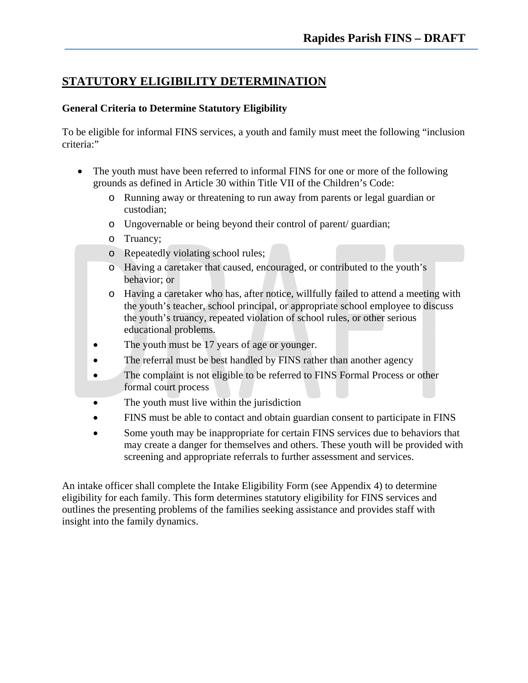## **STATUTORY ELIGIBILITY DETERMINATION**

### **General Criteria to Determine Statutory Eligibility**

To be eligible for informal FINS services, a youth and family must meet the following "inclusion criteria:"

- The youth must have been referred to informal FINS for one or more of the following grounds as defined in Article 30 within Title VII of the Children's Code:
	- o Running away or threatening to run away from parents or legal guardian or custodian;
	- o Ungovernable or being beyond their control of parent/ guardian;
	- o Truancy;
	- o Repeatedly violating school rules;
	- o Having a caretaker that caused, encouraged, or contributed to the youth's behavior; or
	- o Having a caretaker who has, after notice, willfully failed to attend a meeting with the youth's teacher, school principal, or appropriate school employee to discuss the youth's truancy, repeated violation of school rules, or other serious educational problems.
	- The youth must be 17 years of age or younger.
	- The referral must be best handled by FINS rather than another agency
	- The complaint is not eligible to be referred to FINS Formal Process or other formal court process
	- The youth must live within the jurisdiction
	- FINS must be able to contact and obtain guardian consent to participate in FINS
	- Some youth may be inappropriate for certain FINS services due to behaviors that may create a danger for themselves and others. These youth will be provided with screening and appropriate referrals to further assessment and services.

An intake officer shall complete the Intake Eligibility Form (see Appendix 4) to determine eligibility for each family. This form determines statutory eligibility for FINS services and outlines the presenting problems of the families seeking assistance and provides staff with insight into the family dynamics.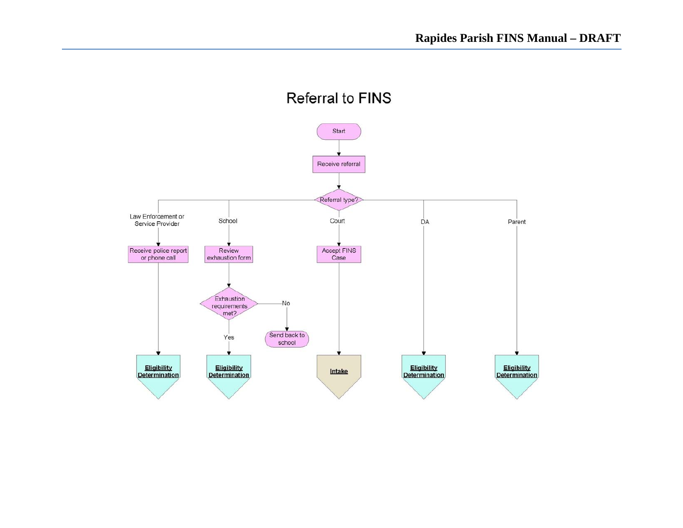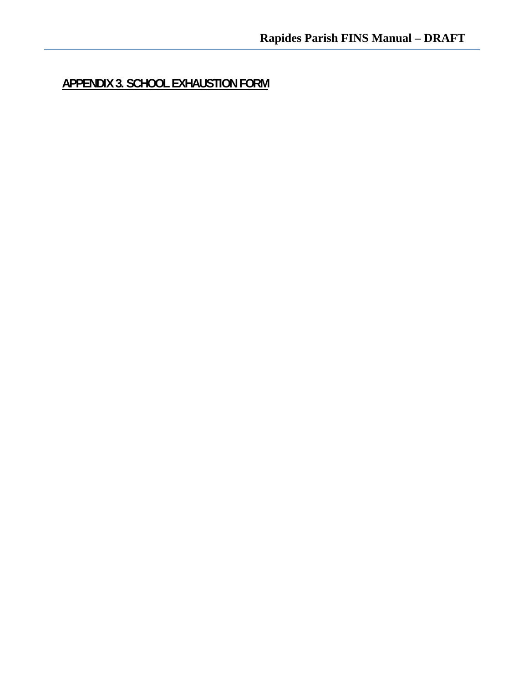**APPENDIX 3. SCHOOL EXHAUSTION FORM**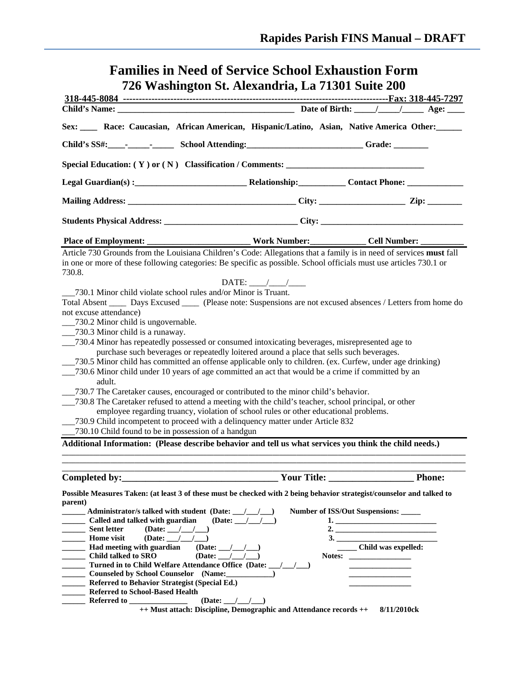## **Families in Need of Service School Exhaustion Form 726 Washington St. Alexandria, La 71301 Suite 200**

| Sex: ____ Race: Caucasian, African American, Hispanic/Latino, Asian, Native America Other: _____                                                                                                                                                                                                                                                                                                                                                                                                                                                                                                                                                                                                                                                                                                                                                                                                                                                                                                                                                                                                                                                                                                                                                                                                                                                                                                                                                                                                                            |                                 |                                                                                                 |               |  |
|-----------------------------------------------------------------------------------------------------------------------------------------------------------------------------------------------------------------------------------------------------------------------------------------------------------------------------------------------------------------------------------------------------------------------------------------------------------------------------------------------------------------------------------------------------------------------------------------------------------------------------------------------------------------------------------------------------------------------------------------------------------------------------------------------------------------------------------------------------------------------------------------------------------------------------------------------------------------------------------------------------------------------------------------------------------------------------------------------------------------------------------------------------------------------------------------------------------------------------------------------------------------------------------------------------------------------------------------------------------------------------------------------------------------------------------------------------------------------------------------------------------------------------|---------------------------------|-------------------------------------------------------------------------------------------------|---------------|--|
| Child's SS#: ________________________ School Attending: ___________________________Grade: __________                                                                                                                                                                                                                                                                                                                                                                                                                                                                                                                                                                                                                                                                                                                                                                                                                                                                                                                                                                                                                                                                                                                                                                                                                                                                                                                                                                                                                        |                                 |                                                                                                 |               |  |
|                                                                                                                                                                                                                                                                                                                                                                                                                                                                                                                                                                                                                                                                                                                                                                                                                                                                                                                                                                                                                                                                                                                                                                                                                                                                                                                                                                                                                                                                                                                             |                                 |                                                                                                 |               |  |
|                                                                                                                                                                                                                                                                                                                                                                                                                                                                                                                                                                                                                                                                                                                                                                                                                                                                                                                                                                                                                                                                                                                                                                                                                                                                                                                                                                                                                                                                                                                             |                                 |                                                                                                 |               |  |
|                                                                                                                                                                                                                                                                                                                                                                                                                                                                                                                                                                                                                                                                                                                                                                                                                                                                                                                                                                                                                                                                                                                                                                                                                                                                                                                                                                                                                                                                                                                             |                                 |                                                                                                 |               |  |
|                                                                                                                                                                                                                                                                                                                                                                                                                                                                                                                                                                                                                                                                                                                                                                                                                                                                                                                                                                                                                                                                                                                                                                                                                                                                                                                                                                                                                                                                                                                             |                                 |                                                                                                 |               |  |
| <b>Place of Employment:</b>                                                                                                                                                                                                                                                                                                                                                                                                                                                                                                                                                                                                                                                                                                                                                                                                                                                                                                                                                                                                                                                                                                                                                                                                                                                                                                                                                                                                                                                                                                 |                                 |                                                                                                 |               |  |
| Article 730 Grounds from the Louisiana Children's Code: Allegations that a family is in need of services must fall<br>in one or more of these following categories: Be specific as possible. School officials must use articles 730.1 or<br>730.8.<br>730.1 Minor child violate school rules and/or Minor is Truant.<br>Total Absent ______ Days Excused ______ (Please note: Suspensions are not excused absences / Letters from home do<br>not excuse attendance)<br>_730.2 Minor child is ungovernable.<br>_730.3 Minor child is a runaway.<br>_730.4 Minor has repeatedly possessed or consumed intoxicating beverages, misrepresented age to<br>purchase such beverages or repeatedly loitered around a place that sells such beverages.<br>_730.5 Minor child has committed an offense applicable only to children. (ex. Curfew, under age drinking)<br>730.6 Minor child under 10 years of age committed an act that would be a crime if committed by an<br>adult.<br>__730.7 The Caretaker causes, encouraged or contributed to the minor child's behavior.<br>__730.8 The Caretaker refused to attend a meeting with the child's teacher, school principal, or other<br>employee regarding truancy, violation of school rules or other educational problems.<br>__730.9 Child incompetent to proceed with a delinquency matter under Article 832<br>730.10 Child found to be in possession of a handgun<br>Additional Information: (Please describe behavior and tell us what services you think the child needs.) | DATE: $\_\_\_\_\_\_\_\_\_\_\_\$ |                                                                                                 |               |  |
| Completed by:                                                                                                                                                                                                                                                                                                                                                                                                                                                                                                                                                                                                                                                                                                                                                                                                                                                                                                                                                                                                                                                                                                                                                                                                                                                                                                                                                                                                                                                                                                               |                                 |                                                                                                 | <b>Phone:</b> |  |
| Possible Measures Taken: (at least 3 of these must be checked with 2 being behavior strategist/counselor and talked to<br>parent)<br>Administrator/s talked with student (Date: __/__/__)<br>Called and talked with guardian<br>Sent letter<br>$(Date:$ $\_\_\_\_\_\_$<br><b>Home</b> visit<br>$(Date:$ $\_\_\_\_\_\_$<br>(Date: $\_\_\_\_\_\_\_\_\_\$<br><b>Child talked to SRO</b><br>(Date: $\angle$ / $\angle$<br>Turned in to Child Welfare Attendance Office (Date: /////<br>Counseled by School Counselor (Name: _____________)<br>$\mathcal{L}^{\text{max}}_{\text{max}}$<br>Referred to Behavior Strategist (Special Ed.)<br>$\overline{\phantom{a}}$<br><b>Referred to School-Based Health</b><br>(Date: $\_\_\_\_\_\_\_\_\$                                                                                                                                                                                                                                                                                                                                                                                                                                                                                                                                                                                                                                                                                                                                                                                      | (Date: $\_\_\_\_\_\_\_\_\_\$    | Number of ISS/Out Suspensions: _____<br>1.<br>2. $\qquad \qquad$<br>_______ Child was expelled: |               |  |

**++ Must attach: Discipline, Demographic and Attendance records ++ 8/11/2010ck**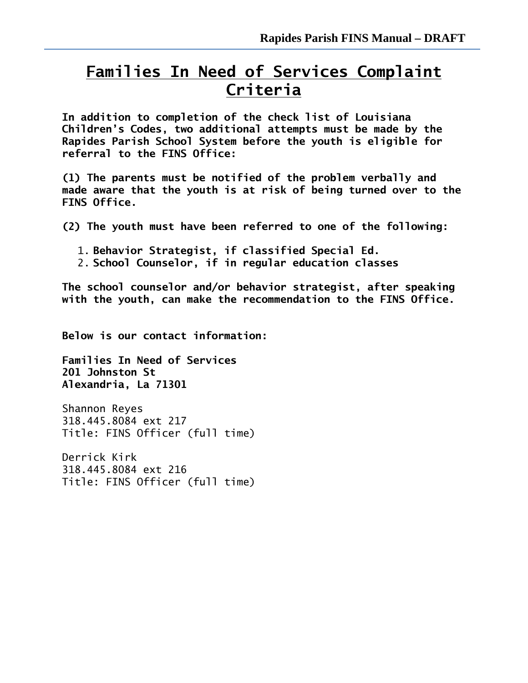# **Families In Need of Services Complaint Criteria**

**In addition to completion of the check list of Louisiana Children's Codes, two additional attempts must be made by the Rapides Parish School System before the youth is eligible for referral to the FINS Office:** 

**(1) The parents must be notified of the problem verbally and made aware that the youth is at risk of being turned over to the FINS Office.** 

**(2) The youth must have been referred to one of the following:**

- 1. **Behavior Strategist, if classified Special Ed.**
- 2. **School Counselor, if in regular education classes**

**The school counselor and/or behavior strategist, after speaking with the youth, can make the recommendation to the FINS Office.** 

**Below is our contact information:**

**Families In Need of Services 201 Johnston St Alexandria, La 71301**

Shannon Reyes 318.445.8084 ext 217 Title: FINS Officer (full time)

Derrick Kirk 318.445.8084 ext 216 Title: FINS Officer (full time)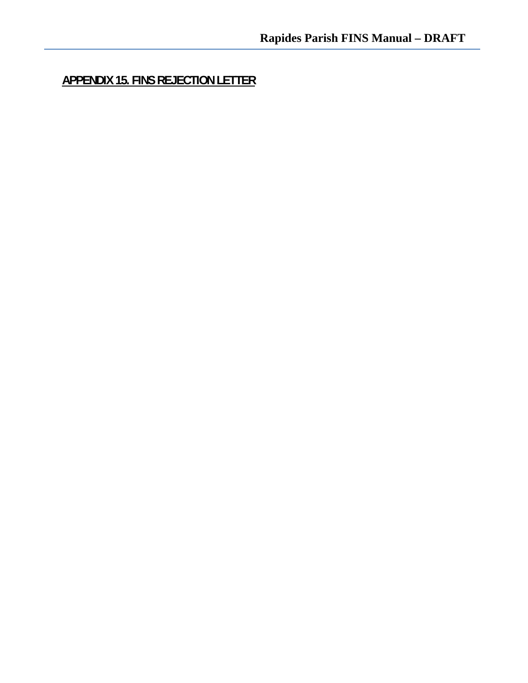**APPENDIX 15. FINS REJECTION LETTER**